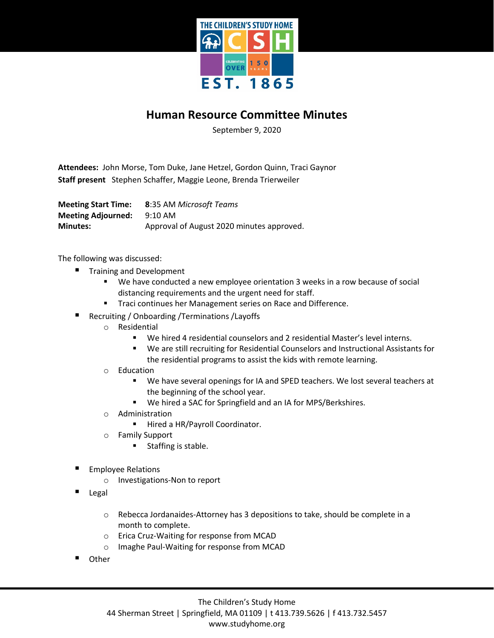

## **Human Resource Committee Minutes**

September 9, 2020

**Attendees:** John Morse, Tom Duke, Jane Hetzel, Gordon Quinn, Traci Gaynor **Staff present** Stephen Schaffer, Maggie Leone, Brenda Trierweiler

**Meeting Start Time: 8**:35 AM *Microsoft Teams* **Meeting Adjourned:** 9:10 AM **Minutes:** Approval of August 2020 minutes approved.

The following was discussed:

- Training and Development
	- We have conducted a new employee orientation 3 weeks in a row because of social distancing requirements and the urgent need for staff.
	- Traci continues her Management series on Race and Difference.
- Recruiting / Onboarding /Terminations /Layoffs
	- o Residential
		- We hired 4 residential counselors and 2 residential Master's level interns.
		- We are still recruiting for Residential Counselors and Instructional Assistants for the residential programs to assist the kids with remote learning.
	- o Education
		- We have several openings for IA and SPED teachers. We lost several teachers at the beginning of the school year.
		- We hired a SAC for Springfield and an IA for MPS/Berkshires.
	- o Administration
		- Hired a HR/Payroll Coordinator.
	- o Family Support
		- **Staffing is stable.**
- Employee Relations
	- o Investigations-Non to report
- Legal
	- $\circ$  Rebecca Jordanaides-Attorney has 3 depositions to take, should be complete in a month to complete.
	- o Erica Cruz-Waiting for response from MCAD
	- o Imaghe Paul-Waiting for response from MCAD
- Other